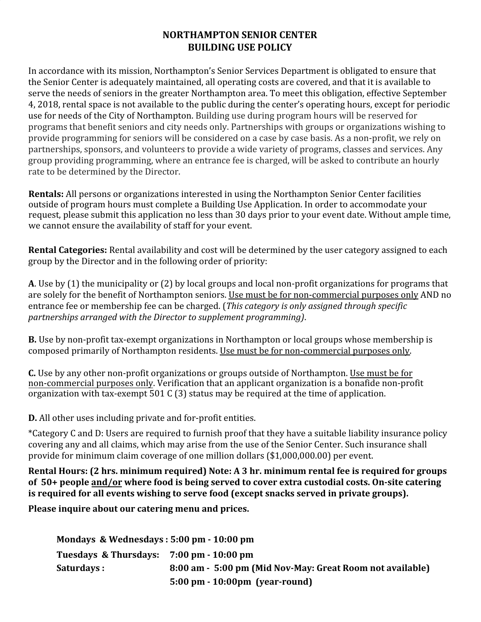## **NORTHAMPTON SENIOR CENTER BUILDING USE POLICY**

In accordance with its mission, Northampton's Senior Services Department is obligated to ensure that the Senior Center is adequately maintained, all operating costs are covered, and that it is available to serve the needs of seniors in the greater Northampton area. To meet this obligation, effective September 4, 2018, rental space is not available to the public during the center's operating hours, except for periodic use for needs of the City of Northampton. Building use during program hours will be reserved for programs that benefit seniors and city needs only. Partnerships with groups or organizations wishing to provide programming for seniors will be considered on a case by case basis. As a non-profit, we rely on partnerships, sponsors, and volunteers to provide a wide variety of programs, classes and services. Any group providing programming, where an entrance fee is charged, will be asked to contribute an hourly rate to be determined by the Director.

**Rentals:** All persons or organizations interested in using the Northampton Senior Center facilities outside of program hours must complete a Building Use Application. In order to accommodate your request, please submit this application no less than 30 days prior to your event date. Without ample time, we cannot ensure the availability of staff for your event.

**Rental Categories:** Rental availability and cost will be determined by the user category assigned to each group by the Director and in the following order of priority:

**A**. Use by (1) the municipality or (2) by local groups and local non-profit organizations for programs that are solely for the benefit of Northampton seniors. Use must be for non-commercial purposes only AND no entrance fee or membership fee can be charged. (*This category is only assigned through specific partnerships arranged with the Director to supplement programming)*.

**B.** Use by non-profit tax-exempt organizations in Northampton or local groups whose membership is composed primarily of Northampton residents. Use must be for non-commercial purposes only.

**C.** Use by any other non-profit organizations or groups outside of Northampton. Use must be for non-commercial purposes only. Verification that an applicant organization is a bonafide non-profit organization with tax-exempt 501 C (3) status may be required at the time of application.

**D.** All other uses including private and for-profit entities.

\*Category C and D: Users are required to furnish proof that they have a suitable liability insurance policy covering any and all claims, which may arise from the use of the Senior Center. Such insurance shall provide for minimum claim coverage of one million dollars (\$1,000,000.00) per event.

**Rental Hours: (2 hrs. minimum required) Note: A 3 hr. minimum rental fee is required for groups of 50+ people and/or where food is being served to cover extra custodial costs. On-site catering is required for all events wishing to serve food (except snacks served in private groups).** 

**Please inquire about our catering menu and prices.**

**Mondays & Wednesdays : 5:00 pm - 10:00 pm Tuesdays & Thursdays: 7:00 pm - 10:00 pm Saturdays : 8:00 am - 5:00 pm (Mid Nov-May: Great Room not available) 5:00 pm - 10:00pm (year-round)**